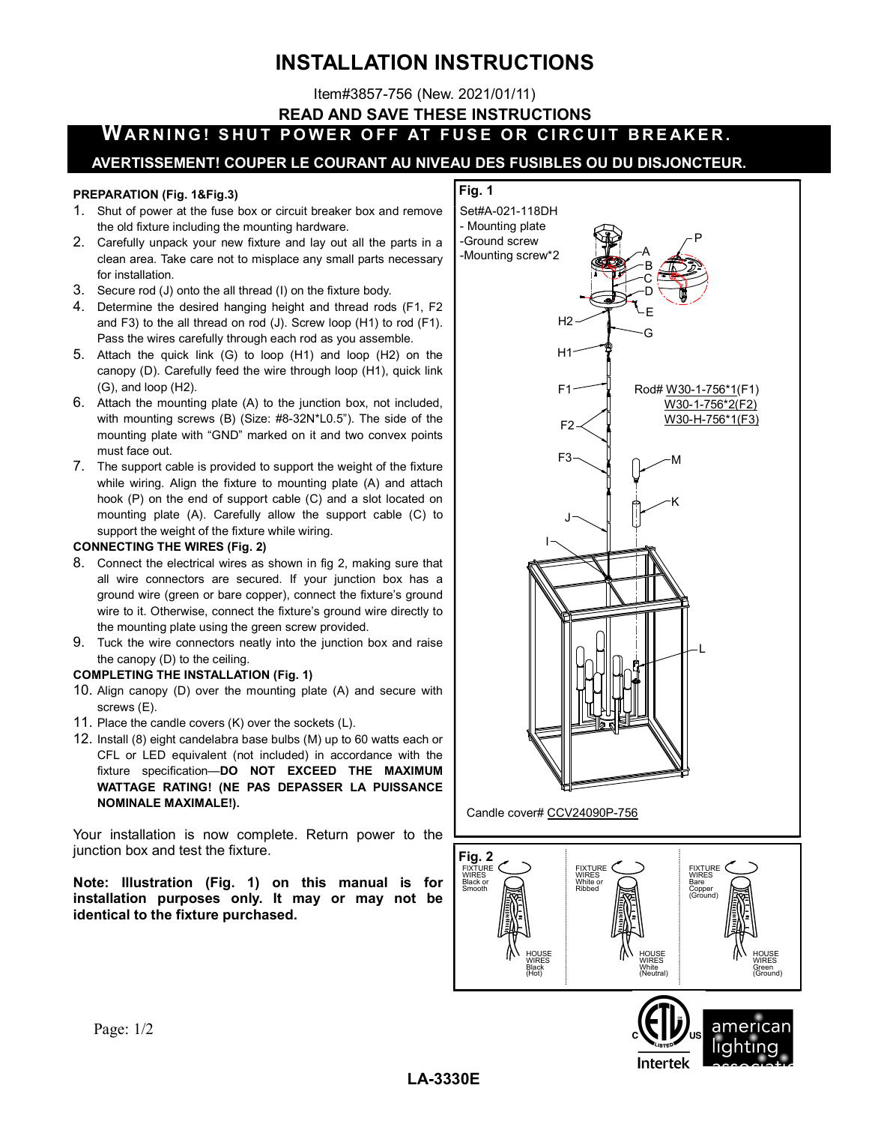# INSTALLATION INSTRUCTIONS

Item#3857-756 (New. 2021/01/11)

READ AND SAVE THESE INSTRUCTIONS

# WARNING! SHUT POWER OFF AT FUSE OR CIRCUIT BREAKER.

### AVERTISSEMENT! COUPER LE COURANT AU NIVEAU DES FUSIBLES OU DU DISJONCTEUR.

#### PREPARATION (Fig. 1&Fig.3)

- 1. Shut of power at the fuse box or circuit breaker box and remove the old fixture including the mounting hardware.
- 2. Carefully unpack your new fixture and lay out all the parts in a clean area. Take care not to misplace any small parts necessary for installation.
- 3. Secure rod (J) onto the all thread (I) on the fixture body.
- 4. Determine the desired hanging height and thread rods (F1, F2 and F3) to the all thread on rod (J). Screw loop (H1) to rod (F1). Pass the wires carefully through each rod as you assemble.
- 5. Attach the quick link (G) to loop (H1) and loop (H2) on the canopy (D). Carefully feed the wire through loop (H1), quick link (G), and loop (H2).
- 6. Attach the mounting plate (A) to the junction box, not included, with mounting screws (B) (Size: #8-32N\*L0.5"). The side of the mounting plate with "GND" marked on it and two convex points must face out.
- 7. The support cable is provided to support the weight of the fixture while wiring. Align the fixture to mounting plate (A) and attach hook (P) on the end of support cable (C) and a slot located on mounting plate (A). Carefully allow the support cable (C) to support the weight of the fixture while wiring.

#### CONNECTING THE WIRES (Fig. 2)

- 8. Connect the electrical wires as shown in fig 2, making sure that all wire connectors are secured. If your junction box has a ground wire (green or bare copper), connect the fixture's ground wire to it. Otherwise, connect the fixture's ground wire directly to the mounting plate using the green screw provided.
- 9. Tuck the wire connectors neatly into the junction box and raise the canopy (D) to the ceiling.

#### COMPLETING THE INSTALLATION (Fig. 1)

- 10. Align canopy (D) over the mounting plate (A) and secure with screws (E).
- 11. Place the candle covers (K) over the sockets (L).
- 12. Install (8) eight candelabra base bulbs (M) up to 60 watts each or CFL or LED equivalent (not included) in accordance with the fixture specification—DO NOT EXCEED THE MAXIMUM WATTAGE RATING! (NE PAS DEPASSER LA PUISSANCE NOMINALE MAXIMALE!).

Your installation is now complete. Return power to the junction box and test the fixture.

Note: Illustration (Fig. 1) on this manual is for installation purposes only. It may or may not be identical to the fixture purchased.

### Fig. 1